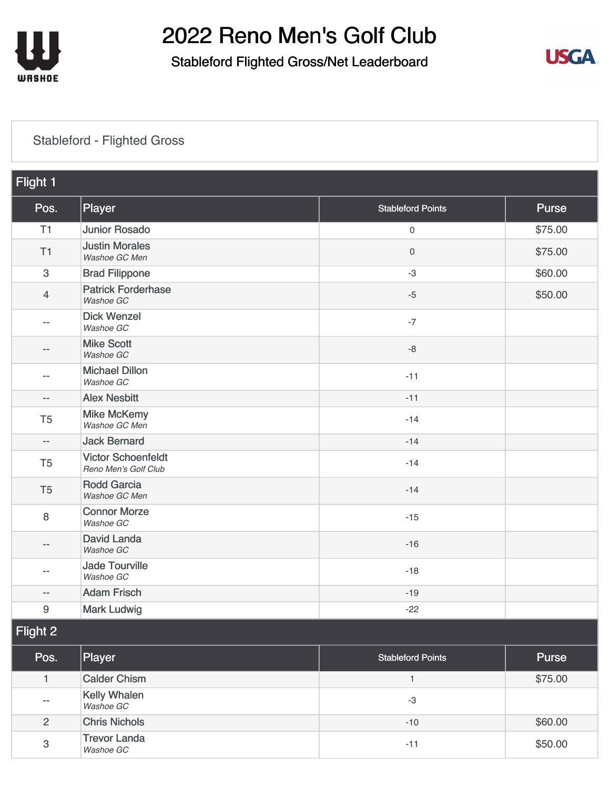

3

[Trevor Landa](https://static.golfgenius.com/tournaments2/details/8538442544936148446)<br>Washoe GC

## 2022 Reno Men's Golf Club

### Stableford Flighted Gross/Net Leaderboard



#### [Stableford - Flighted Gross](https://static.golfgenius.com/v2tournaments/8532479767985806399?called_from=&round_index=5)

| Flight 1       |                                                   |                          |              |  |
|----------------|---------------------------------------------------|--------------------------|--------------|--|
| Pos.           | Player                                            | <b>Stableford Points</b> | <b>Purse</b> |  |
| T1             | <b>Junior Rosado</b>                              | 0                        | \$75.00      |  |
| T1             | <b>Justin Morales</b><br>Washoe GC Men            | 0                        | \$75.00      |  |
| $\sqrt{3}$     | <b>Brad Filippone</b>                             | $-3$                     | \$60.00      |  |
| $\overline{4}$ | <b>Patrick Forderhase</b><br>Washoe GC            | $-5$                     | \$50.00      |  |
| $-$            | <b>Dick Wenzel</b><br>Washoe GC                   | $-7$                     |              |  |
| --             | <b>Mike Scott</b><br>Washoe GC                    | $-8$                     |              |  |
| --             | <b>Michael Dillon</b><br>Washoe GC                | $-11$                    |              |  |
| --             | <b>Alex Nesbitt</b>                               | $-11$                    |              |  |
| T <sub>5</sub> | <b>Mike McKemy</b><br>Washoe GC Men               | $-14$                    |              |  |
| $-\, -$        | <b>Jack Bernard</b>                               | $-14$                    |              |  |
| T <sub>5</sub> | <b>Victor Schoenfeldt</b><br>Reno Men's Golf Club | $-14$                    |              |  |
| T <sub>5</sub> | <b>Rodd Garcia</b><br>Washoe GC Men               | $-14$                    |              |  |
| 8              | <b>Connor Morze</b><br>Washoe GC                  | $-15$                    |              |  |
| $- -$          | <b>David Landa</b><br>Washoe GC                   | $-16$                    |              |  |
| --             | <b>Jade Tourville</b><br>Washoe GC                | $-18$                    |              |  |
| --             | <b>Adam Frisch</b>                                | $-19$                    |              |  |
| 9              | <b>Mark Ludwig</b>                                | $-22$                    |              |  |
| Flight 2       |                                                   |                          |              |  |
| Pos.           | Player                                            | <b>Stableford Points</b> | Purse        |  |
| $\mathbf{1}$   | <b>Calder Chism</b>                               | $\mathbf{1}$             | \$75.00      |  |
| --             | Kelly Whalen<br>Washoe GC                         | $\textnormal{-3}$        |              |  |

2 [Chris Nichols](https://static.golfgenius.com/tournaments2/details/8538442544969702888) **360.00** 

Trevor Landa<br>Washoe GC **\$50.00** 

-10

-11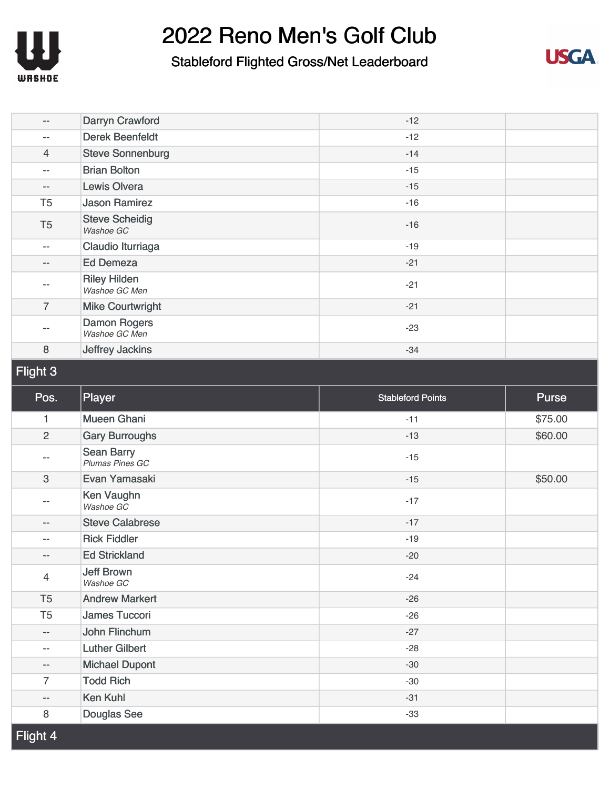

#### Stableford Flighted Gross/Net Leaderboard



| $\overline{\phantom{m}}$  | Darryn Crawford                      | $-12$                    |         |
|---------------------------|--------------------------------------|--------------------------|---------|
| $\overline{\phantom{m}}$  | <b>Derek Beenfeldt</b>               | $-12$                    |         |
| $\overline{4}$            | <b>Steve Sonnenburg</b>              | $-14$                    |         |
| $\overline{\phantom{m}}$  | <b>Brian Bolton</b>                  | $-15$                    |         |
| $\overline{\phantom{m}}$  | <b>Lewis Olvera</b>                  | $-15$                    |         |
| T <sub>5</sub>            | <b>Jason Ramirez</b>                 | $-16$                    |         |
| T <sub>5</sub>            | <b>Steve Scheidig</b><br>Washoe GC   | $-16$                    |         |
| $\overline{\phantom{m}}$  | Claudio Iturriaga                    | $-19$                    |         |
| $\overline{\phantom{a}}$  | <b>Ed Demeza</b>                     | $-21$                    |         |
| $\overline{\phantom{m}}$  | <b>Riley Hilden</b><br>Washoe GC Men | $-21$                    |         |
| $\overline{7}$            | <b>Mike Courtwright</b>              | $-21$                    |         |
|                           | <b>Damon Rogers</b><br>Washoe GC Men | $-23$                    |         |
| $\,8\,$                   | Jeffrey Jackins                      | $-34$                    |         |
|                           |                                      |                          |         |
| Flight 3                  |                                      |                          |         |
| Pos.                      | Player                               | <b>Stableford Points</b> | Purse   |
| 1                         | <b>Mueen Ghani</b>                   | $-11$                    | \$75.00 |
| $\overline{c}$            | <b>Gary Burroughs</b>                | $-13$                    | \$60.00 |
| $\overline{\phantom{m}}$  | <b>Sean Barry</b><br>Plumas Pines GC | $-15$                    |         |
| $\ensuremath{\mathsf{3}}$ | Evan Yamasaki                        | $-15$                    | \$50.00 |
| $- -$                     | Ken Vaughn<br>Washoe GC              | $-17$                    |         |
| $\overline{\phantom{a}}$  | <b>Steve Calabrese</b>               | $-17$                    |         |
| $-$                       | <b>Rick Fiddler</b>                  | $-19$                    |         |
| $-\, -$                   | <b>Ed Strickland</b>                 | $-20$                    |         |
| $\overline{4}$            | <b>Jeff Brown</b><br>Washoe GC       | $-24$                    |         |
| T <sub>5</sub>            | <b>Andrew Markert</b>                | $-26$                    |         |
| T <sub>5</sub>            | James Tuccori                        | $-26$                    |         |

-28 -30 -30 -31 -33

-- [Luther Gilbert](https://static.golfgenius.com/tournaments2/details/8538442545036811301) -- [Michael Dupont](https://static.golfgenius.com/tournaments2/details/8538442545036811302)

7 [Todd Rich](https://static.golfgenius.com/tournaments2/details/8538442545070365742) -- [Ken Kuhl](https://static.golfgenius.com/tournaments2/details/8538442545036811306) 8 [Douglas See](https://static.golfgenius.com/tournaments2/details/8538442545036811283)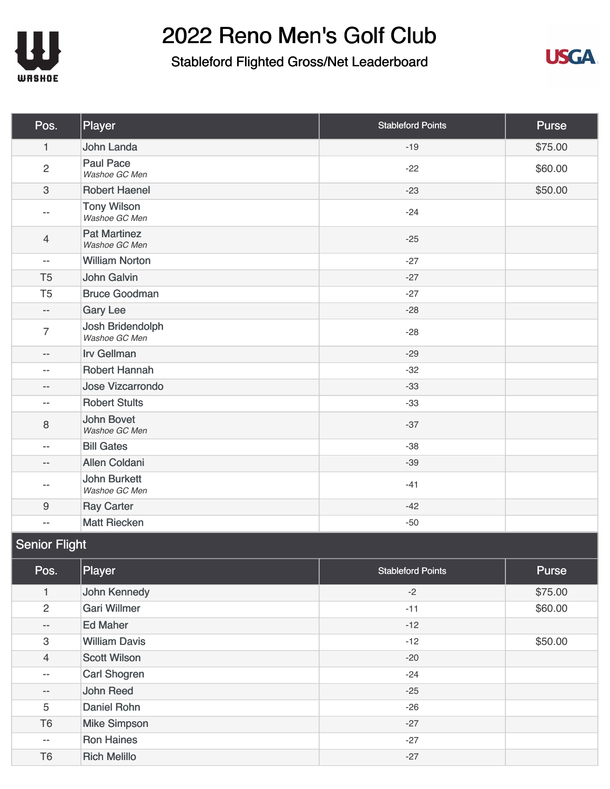

### Stableford Flighted Gross/Net Leaderboard



| Pos.                     | Player                               | <b>Stableford Points</b> | <b>Purse</b> |
|--------------------------|--------------------------------------|--------------------------|--------------|
| $\mathbf{1}$             | John Landa                           | $-19$                    | \$75.00      |
| $\overline{2}$           | <b>Paul Pace</b><br>Washoe GC Men    | $-22$                    | \$60.00      |
| $\mathbf{3}$             | <b>Robert Haenel</b>                 | $-23$                    | \$50.00      |
| $\overline{\phantom{m}}$ | <b>Tony Wilson</b><br>Washoe GC Men  | $-24$                    |              |
| $\overline{4}$           | <b>Pat Martinez</b><br>Washoe GC Men | $-25$                    |              |
| $\overline{\phantom{m}}$ | <b>William Norton</b>                | $-27$                    |              |
| T <sub>5</sub>           | John Galvin                          | $-27$                    |              |
| T <sub>5</sub>           | <b>Bruce Goodman</b>                 | $-27$                    |              |
| $\overline{\phantom{a}}$ | <b>Gary Lee</b>                      | $-28$                    |              |
| $\overline{7}$           | Josh Bridendolph<br>Washoe GC Men    | $-28$                    |              |
| $\overline{\phantom{m}}$ | <b>Irv Gellman</b>                   | $-29$                    |              |
| $\overline{\phantom{m}}$ | <b>Robert Hannah</b>                 | $-32$                    |              |
| $\overline{\phantom{m}}$ | <b>Jose Vizcarrondo</b>              | $-33$                    |              |
| $\overline{\phantom{m}}$ | <b>Robert Stults</b>                 | $-33$                    |              |
| $\,8\,$                  | <b>John Bovet</b><br>Washoe GC Men   | $-37$                    |              |
| $\overline{\phantom{a}}$ | <b>Bill Gates</b>                    | $-38$                    |              |
| $\overline{\phantom{m}}$ | <b>Allen Coldani</b>                 | $-39$                    |              |
| $- -$                    | <b>John Burkett</b><br>Washoe GC Men | $-41$                    |              |
| $\boldsymbol{9}$         | <b>Ray Carter</b>                    | $-42$                    |              |
| $\overline{\phantom{m}}$ | <b>Matt Riecken</b>                  | $-50$                    |              |

### Senior Flight

| Pos.                     | Player               | <b>Stableford Points</b> | Purse   |
|--------------------------|----------------------|--------------------------|---------|
| 1                        | John Kennedy         | $-2$                     | \$75.00 |
| $\overline{2}$           | <b>Gari Willmer</b>  | $-11$                    | \$60.00 |
| $\overline{\phantom{a}}$ | <b>Ed Maher</b>      | $-12$                    |         |
| 3                        | <b>William Davis</b> | $-12$                    | \$50.00 |
| $\overline{4}$           | <b>Scott Wilson</b>  | $-20$                    |         |
| $\overline{\phantom{m}}$ | Carl Shogren         | $-24$                    |         |
| $\qquad \qquad -$        | John Reed            | $-25$                    |         |
| 5                        | Daniel Rohn          | $-26$                    |         |
| T <sub>6</sub>           | <b>Mike Simpson</b>  | $-27$                    |         |
| $\qquad \qquad -$        | <b>Ron Haines</b>    | $-27$                    |         |
| T <sub>6</sub>           | <b>Rich Melillo</b>  | $-27$                    |         |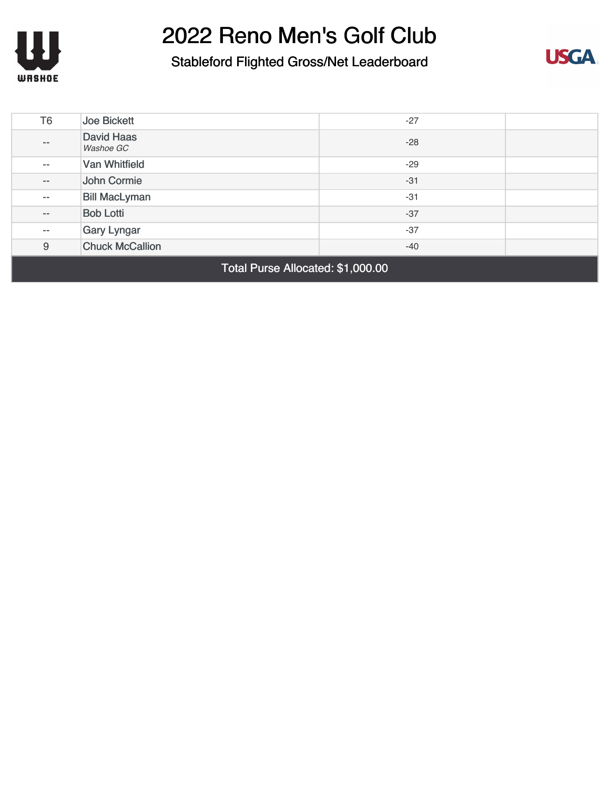



| T <sub>6</sub>                    | Joe Bickett                           | $-27$ |  |
|-----------------------------------|---------------------------------------|-------|--|
| $\qquad \qquad -$                 | <b>David Haas</b><br><b>Washoe GC</b> | $-28$ |  |
| $\qquad \qquad -$                 | Van Whitfield                         | $-29$ |  |
| $- -$                             | John Cormie                           | $-31$ |  |
| $\overline{\phantom{m}}$          | <b>Bill MacLyman</b>                  | $-31$ |  |
| $\overline{\phantom{m}}$          | <b>Bob Lotti</b>                      | $-37$ |  |
| $\qquad \qquad -$                 | Gary Lyngar                           | $-37$ |  |
| 9                                 | <b>Chuck McCallion</b>                | $-40$ |  |
| Total Purse Allocated: \$1,000.00 |                                       |       |  |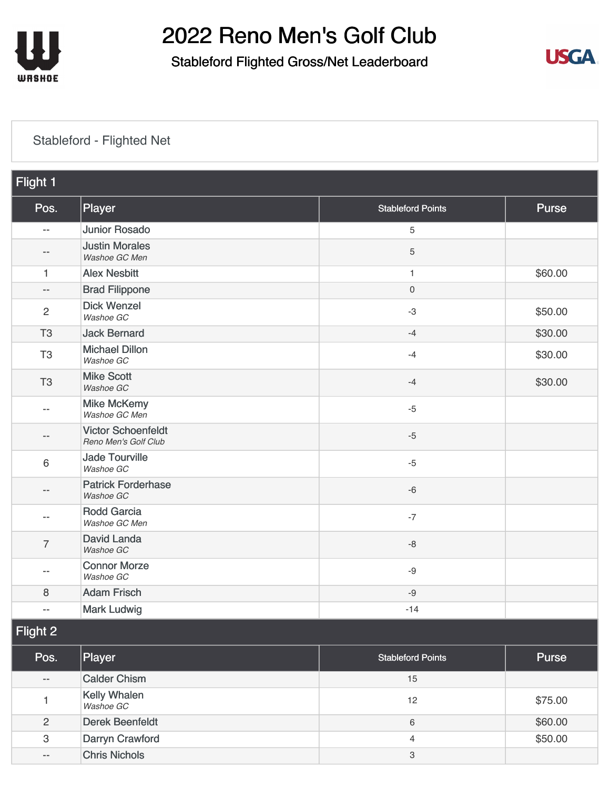

### Stableford Flighted Gross/Net Leaderboard



#### [Stableford - Flighted Net](https://static.golfgenius.com/v2tournaments/8532501266276834376?called_from=&round_index=5)

| Flight 1       |                                                   |                          |              |  |
|----------------|---------------------------------------------------|--------------------------|--------------|--|
| Pos.           | Player                                            | <b>Stableford Points</b> | <b>Purse</b> |  |
| $-$            | <b>Junior Rosado</b>                              | 5                        |              |  |
| $-$            | <b>Justin Morales</b><br>Washoe GC Men            | 5                        |              |  |
| 1              | <b>Alex Nesbitt</b>                               | $\mathbf{1}$             | \$60.00      |  |
| $-$            | <b>Brad Filippone</b>                             | $\mathbf 0$              |              |  |
| $\overline{2}$ | <b>Dick Wenzel</b><br>Washoe GC                   | $-3$                     | \$50.00      |  |
| T <sub>3</sub> | <b>Jack Bernard</b>                               | $-4$                     | \$30.00      |  |
| T <sub>3</sub> | <b>Michael Dillon</b><br>Washoe GC                | $-4$                     | \$30.00      |  |
| T <sub>3</sub> | <b>Mike Scott</b><br>Washoe GC                    | $-4$                     | \$30.00      |  |
| $-$            | <b>Mike McKemy</b><br>Washoe GC Men               | $-5$                     |              |  |
| --             | <b>Victor Schoenfeldt</b><br>Reno Men's Golf Club | $-5$                     |              |  |
| 6              | <b>Jade Tourville</b><br>Washoe GC                | $-5$                     |              |  |
| $- -$          | <b>Patrick Forderhase</b><br>Washoe GC            | $-6$                     |              |  |
| $-$            | <b>Rodd Garcia</b><br>Washoe GC Men               | $-7$                     |              |  |
| $\overline{7}$ | David Landa<br>Washoe GC                          | $-8$                     |              |  |
| $-$            | <b>Connor Morze</b><br>Washoe GC                  | $-9$                     |              |  |
| 8              | <b>Adam Frisch</b>                                | $-9$                     |              |  |
| $-$            | <b>Mark Ludwig</b>                                | $-14$                    |              |  |
| Flight 2       |                                                   |                          |              |  |
| Pos.           | Player                                            | <b>Stableford Points</b> | <b>Purse</b> |  |

| Pos.           | Player                           | <b>Stableford Points</b> | <b>Purse</b> |
|----------------|----------------------------------|--------------------------|--------------|
| $- -$          | <b>Calder Chism</b>              | 15                       |              |
|                | <b>Kelly Whalen</b><br>Washoe GC | 12                       | \$75.00      |
| $\overline{2}$ | <b>Derek Beenfeldt</b>           | 6                        | \$60.00      |
| 3              | Darryn Crawford                  | $\overline{4}$           | \$50.00      |
| $- -$          | <b>Chris Nichols</b>             | 3                        |              |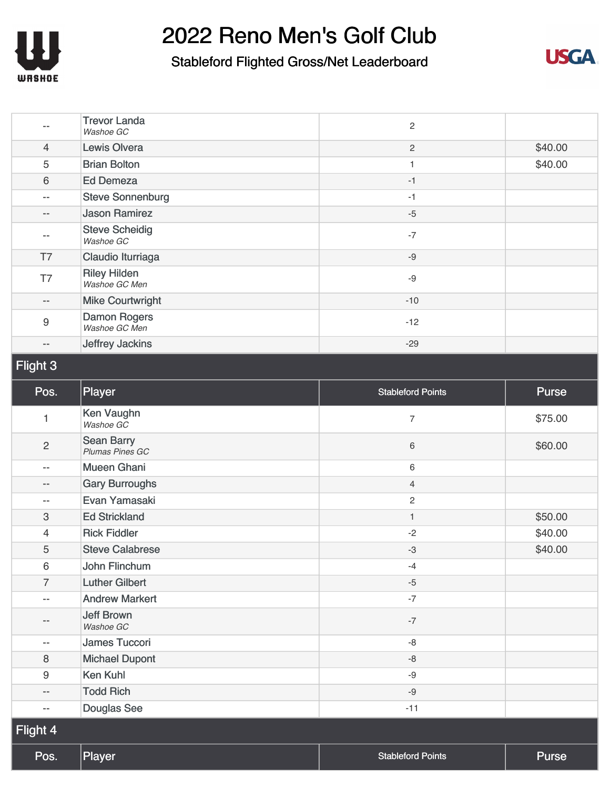



|                           | <b>Trevor Landa</b><br>Washoe GC     | $\mathbf{2}$             |         |
|---------------------------|--------------------------------------|--------------------------|---------|
| $\overline{4}$            | <b>Lewis Olvera</b>                  | $\mathbf{2}$             | \$40.00 |
| 5                         | <b>Brian Bolton</b>                  | \$40.00<br>1             |         |
| 6                         | <b>Ed Demeza</b>                     | $-1$                     |         |
| $- -$                     | <b>Steve Sonnenburg</b>              | $-1$                     |         |
| $\qquad \qquad -$         | <b>Jason Ramirez</b>                 | $-5$                     |         |
| $\overline{\phantom{m}}$  | <b>Steve Scheidig</b><br>Washoe GC   | $-7$                     |         |
| T7                        | Claudio Iturriaga                    | $-9$                     |         |
| T7                        | <b>Riley Hilden</b><br>Washoe GC Men | $-9$                     |         |
| $\overline{\phantom{m}}$  | <b>Mike Courtwright</b>              | $-10$                    |         |
| $\boldsymbol{9}$          | <b>Damon Rogers</b><br>Washoe GC Men | $-12$                    |         |
| $\overline{\phantom{m}}$  | Jeffrey Jackins                      | $-29$                    |         |
| Flight 3                  |                                      |                          |         |
| Pos.                      | Player                               | <b>Stableford Points</b> | Purse   |
| 1                         | Ken Vaughn<br>Washoe GC              | $\overline{7}$           | \$75.00 |
| $\sqrt{2}$                | <b>Sean Barry</b><br>Plumas Pines GC | 6                        | \$60.00 |
| $\overline{\phantom{m}}$  | <b>Mueen Ghani</b>                   | 6                        |         |
| $-\,-$                    | <b>Gary Burroughs</b>                | $\overline{4}$           |         |
| $\qquad \qquad -$         | Evan Yamasaki                        | $\overline{c}$           |         |
| $\ensuremath{\mathsf{3}}$ | <b>Ed Strickland</b>                 | 1                        | \$50.00 |
| 4                         | <b>Rick Fiddler</b>                  | $-2$                     | \$40.00 |
| 5                         | <b>Steve Calabrese</b>               | $-3$                     | \$40.00 |
| $6\,$                     | John Flinchum                        | $-4$                     |         |
| $\overline{7}$            | <b>Luther Gilbert</b>                | $-5$                     |         |
| $\overline{\phantom{m}}$  | <b>Andrew Markert</b>                | $-7$                     |         |
| $-\, -$                   | <b>Jeff Brown</b><br>Washoe GC       | $-7$                     |         |
| $\overline{\phantom{m}}$  | James Tuccori                        | $-8$                     |         |
| $\,8\,$                   | <b>Michael Dupont</b>                | $-8$                     |         |
| $\boldsymbol{9}$          | <b>Ken Kuhl</b>                      | $-9$                     |         |
| $\overline{\phantom{m}}$  | <b>Todd Rich</b>                     | $-9$                     |         |
| $\overline{\phantom{m}}$  | Douglas See                          | $-11$                    |         |
| Flight 4                  |                                      |                          |         |
| Pos.                      | Player                               | <b>Stableford Points</b> | Purse   |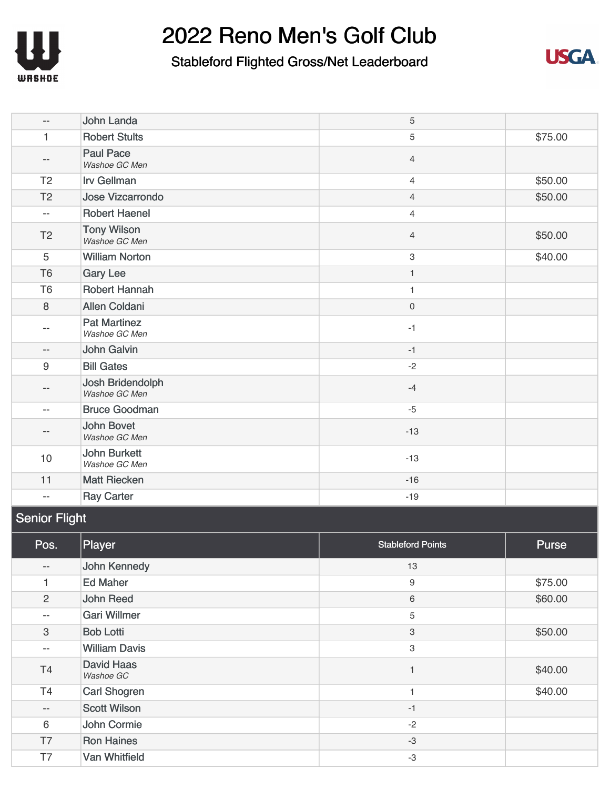

### Stableford Flighted Gross/Net Leaderboard



| $\overline{\phantom{a}}$ | John Landa                           | 5                   |         |
|--------------------------|--------------------------------------|---------------------|---------|
| 1                        | <b>Robert Stults</b>                 | 5                   | \$75.00 |
| $- -$                    | <b>Paul Pace</b><br>Washoe GC Men    | $\overline{4}$      |         |
| T <sub>2</sub>           | <b>Irv Gellman</b>                   | $\overline{4}$      | \$50.00 |
| T <sub>2</sub>           | <b>Jose Vizcarrondo</b>              | $\overline{4}$      | \$50.00 |
| $\mathbf{u}$             | <b>Robert Haenel</b>                 | $\overline{4}$      |         |
| T <sub>2</sub>           | <b>Tony Wilson</b><br>Washoe GC Men  | $\overline{4}$      | \$50.00 |
| $\overline{5}$           | <b>William Norton</b>                | 3                   | \$40.00 |
| T <sub>6</sub>           | <b>Gary Lee</b>                      | $\mathbf{1}$        |         |
| T <sub>6</sub>           | <b>Robert Hannah</b>                 | 1                   |         |
| $\,8\,$                  | <b>Allen Coldani</b>                 | $\mathsf{O}\xspace$ |         |
| $-$                      | <b>Pat Martinez</b><br>Washoe GC Men | $-1$                |         |
| $\overline{\phantom{m}}$ | John Galvin                          | $-1$                |         |
| 9                        | <b>Bill Gates</b>                    | $-2$                |         |
| $\qquad \qquad -$        | Josh Bridendolph<br>Washoe GC Men    | $-4$                |         |
| $\overline{\phantom{a}}$ | <b>Bruce Goodman</b>                 | $-5$                |         |
| --                       | <b>John Bovet</b><br>Washoe GC Men   | $-13$               |         |
| 10                       | <b>John Burkett</b><br>Washoe GC Men | $-13$               |         |
| 11                       | <b>Matt Riecken</b>                  | $-16$               |         |
| $\overline{\phantom{m}}$ | <b>Ray Carter</b>                    | $-19$               |         |

### Senior Flight

| Pos.              | Player                         | <b>Stableford Points</b> | Purse   |
|-------------------|--------------------------------|--------------------------|---------|
| $-\,-$            | John Kennedy                   | 13                       |         |
| 1                 | <b>Ed Maher</b>                | 9                        | \$75.00 |
| 2                 | John Reed                      | 6                        | \$60.00 |
| $\qquad \qquad -$ | <b>Gari Willmer</b>            | 5                        |         |
| 3                 | <b>Bob Lotti</b>               | 3                        | \$50.00 |
| $- -$             | <b>William Davis</b>           | 3                        |         |
| <b>T4</b>         | <b>David Haas</b><br>Washoe GC |                          | \$40.00 |
| T <sub>4</sub>    | <b>Carl Shogren</b>            |                          | \$40.00 |
| $-\,-$            | <b>Scott Wilson</b>            | $-1$                     |         |
| 6                 | John Cormie                    | $-2$                     |         |
| T7                | <b>Ron Haines</b>              | $-3$                     |         |
| T7                | Van Whitfield                  | $-3$                     |         |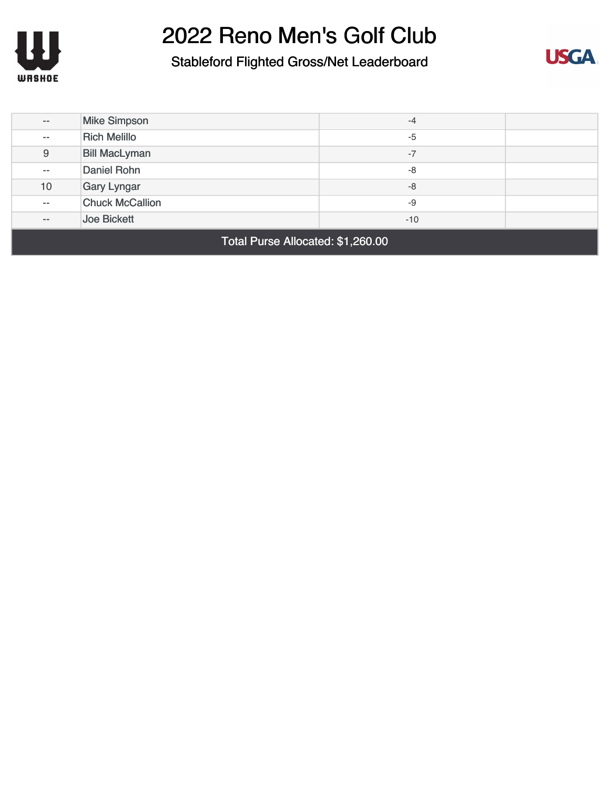



| $- -$                             | <b>Mike Simpson</b>    | $-4$  |  |
|-----------------------------------|------------------------|-------|--|
| $ -$                              | <b>Rich Melillo</b>    | $-5$  |  |
| $\boldsymbol{9}$                  | <b>Bill MacLyman</b>   | $-7$  |  |
| $- -$                             | Daniel Rohn            | -8    |  |
| 10                                | <b>Gary Lyngar</b>     | $-8$  |  |
| $- -$                             | <b>Chuck McCallion</b> | -9    |  |
| $- -$                             | Joe Bickett            | $-10$ |  |
| Total Purse Allocated: \$1,260.00 |                        |       |  |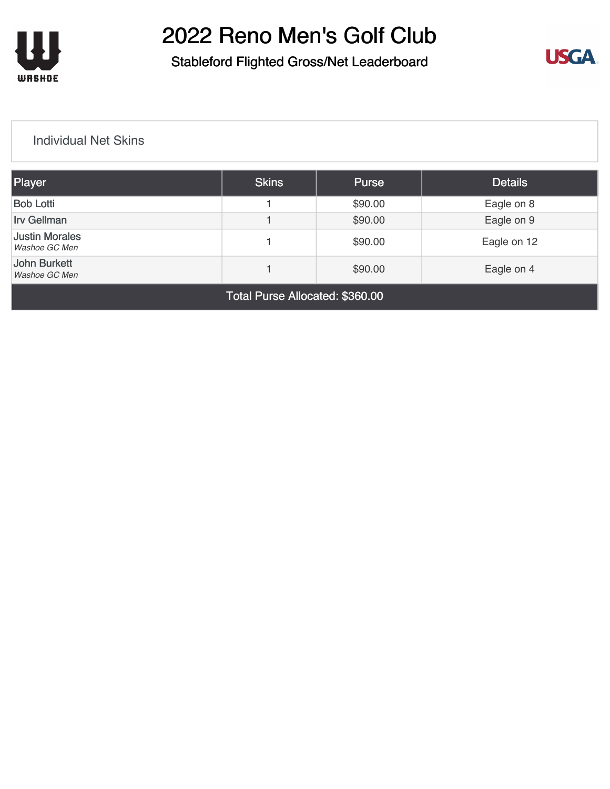

### Stableford Flighted Gross/Net Leaderboard



#### [Individual Net Skins](https://static.golfgenius.com/v2tournaments/8161025413154364691?called_from=&round_index=5)

| Player                                                        | <b>Skins</b> | <b>Purse</b> | <b>Details</b> |
|---------------------------------------------------------------|--------------|--------------|----------------|
| <b>Bob Lotti</b>                                              |              | \$90.00      | Eagle on 8     |
| <b>Irv Gellman</b>                                            |              | \$90.00      | Eagle on 9     |
| <b>Justin Morales</b><br>Washoe GC Men                        |              | \$90.00      | Eagle on 12    |
| <b>John Burkett</b><br>\$90.00<br>Eagle on 4<br>Washoe GC Men |              |              |                |
| Total Purse Allocated: \$360.00                               |              |              |                |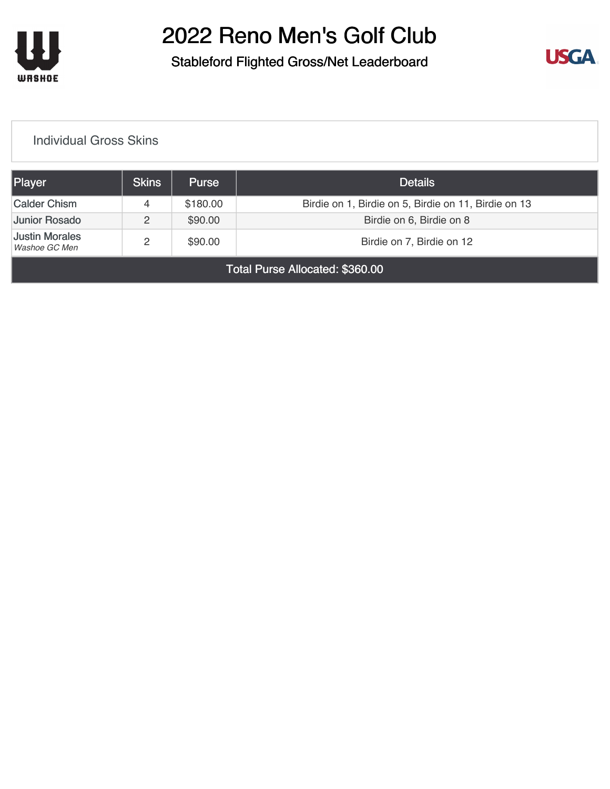

### Stableford Flighted Gross/Net Leaderboard



#### [Individual Gross Skins](https://static.golfgenius.com/v2tournaments/8161025528950709533?called_from=&round_index=5)

| Player                                 | Skins | <b>Purse</b> | <b>Details</b>                                       |  |  |
|----------------------------------------|-------|--------------|------------------------------------------------------|--|--|
| <b>Calder Chism</b>                    | 4     | \$180.00     | Birdie on 1, Birdie on 5, Birdie on 11, Birdie on 13 |  |  |
| Junior Rosado                          |       | \$90.00      | Birdie on 6, Birdie on 8                             |  |  |
| <b>Justin Morales</b><br>Washoe GC Men | 2     | \$90.00      | Birdie on 7, Birdie on 12                            |  |  |
| Total Purse Allocated: \$360.00        |       |              |                                                      |  |  |